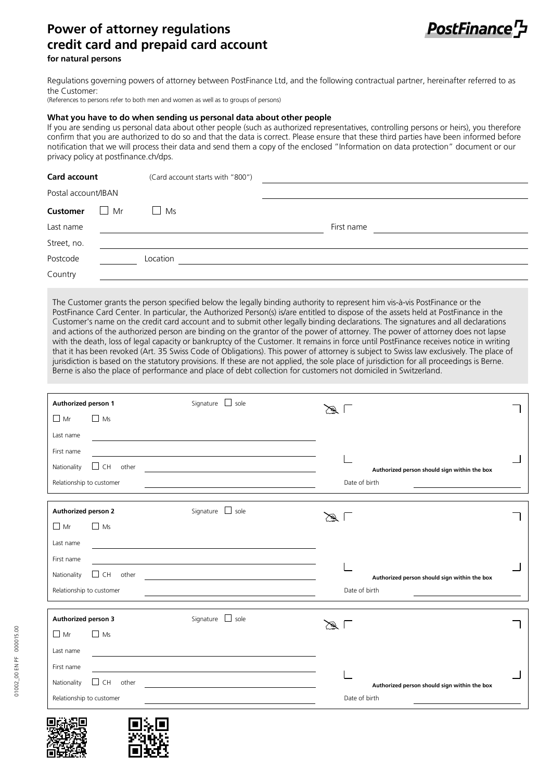## **Power of attorney regulations credit card and prepaid card account**



## **for natural persons**

Regulations governing powers of attorney between PostFinance Ltd, and the following contractual partner, hereinafter referred to as the Customer:

(References to persons refer to both men and women as well as to groups of persons)

## **What you have to do when sending us personal data about other people**

If you are sending us personal data about other people (such as authorized representatives, controlling persons or heirs), you therefore confirm that you are authorized to do so and that the data is correct. Please ensure that these third parties have been informed before notification that we will process their data and send them a copy of the enclosed "Information on data protection" document or our privacy policy at postfinance.ch/dps.

| Card account        |    | (Card account starts with "800") |            |
|---------------------|----|----------------------------------|------------|
| Postal account/IBAN |    |                                  |            |
| <b>Customer</b>     | Mr | Ms                               |            |
| Last name           |    |                                  | First name |
| Street, no.         |    |                                  |            |
| Postcode            |    | Location                         |            |
| Country             |    |                                  |            |

The Customer grants the person specified below the legally binding authority to represent him vis-à-vis PostFinance or the PostFinance Card Center. In particular, the Authorized Person(s) is/are entitled to dispose of the assets held at PostFinance in the Customer's name on the credit card account and to submit other legally binding declarations. The signatures and all declarations and actions of the authorized person are binding on the grantor of the power of attorney. The power of attorney does not lapse with the death, loss of legal capacity or bankruptcy of the Customer. It remains in force until PostFinance receives notice in writing that it has been revoked (Art. 35 Swiss Code of Obligations). This power of attorney is subject to Swiss law exclusively. The place of jurisdiction is based on the statutory provisions. If these are not applied, the sole place of jurisdiction for all proceedings is Berne. Berne is also the place of performance and place of debt collection for customers not domiciled in Switzerland.

| Authorized person 1                            |                    | Signature   sole | $\sim$ 1      |                                                               |  |
|------------------------------------------------|--------------------|------------------|---------------|---------------------------------------------------------------|--|
| $\Box$ Mr                                      | $\Box$ Ms          |                  |               |                                                               |  |
| Last name                                      |                    |                  |               |                                                               |  |
| First name                                     |                    |                  |               |                                                               |  |
| Nationality                                    | other<br>$\Box$ CH |                  |               | Authorized person should sign within the box                  |  |
| Relationship to customer                       |                    |                  |               | Date of birth                                                 |  |
| <b>Authorized person 2</b><br>Signature   sole |                    |                  |               |                                                               |  |
| $\Box$ Mr                                      | $\Box$ Ms          |                  | $\sim$ 1      |                                                               |  |
| Last name                                      |                    |                  |               |                                                               |  |
| First name                                     |                    |                  |               |                                                               |  |
| Nationality<br>$\vert \ \ \vert$               | CH<br>other        |                  |               |                                                               |  |
| Relationship to customer                       |                    |                  |               | Authorized person should sign within the box<br>Date of birth |  |
|                                                |                    |                  |               |                                                               |  |
| Authorized person 3                            |                    | Signature   sole | $\mathscr{D}$ |                                                               |  |
| $\Box$ Mr                                      | $\Box$ Ms          |                  |               |                                                               |  |
| Last name                                      |                    |                  |               |                                                               |  |
| First name                                     |                    |                  |               |                                                               |  |
| Nationality                                    | $\Box$ CH other    |                  |               | Authorized person should sign within the box                  |  |
| Relationship to customer                       |                    |                  | Date of birth |                                                               |  |
|                                                |                    |                  |               |                                                               |  |